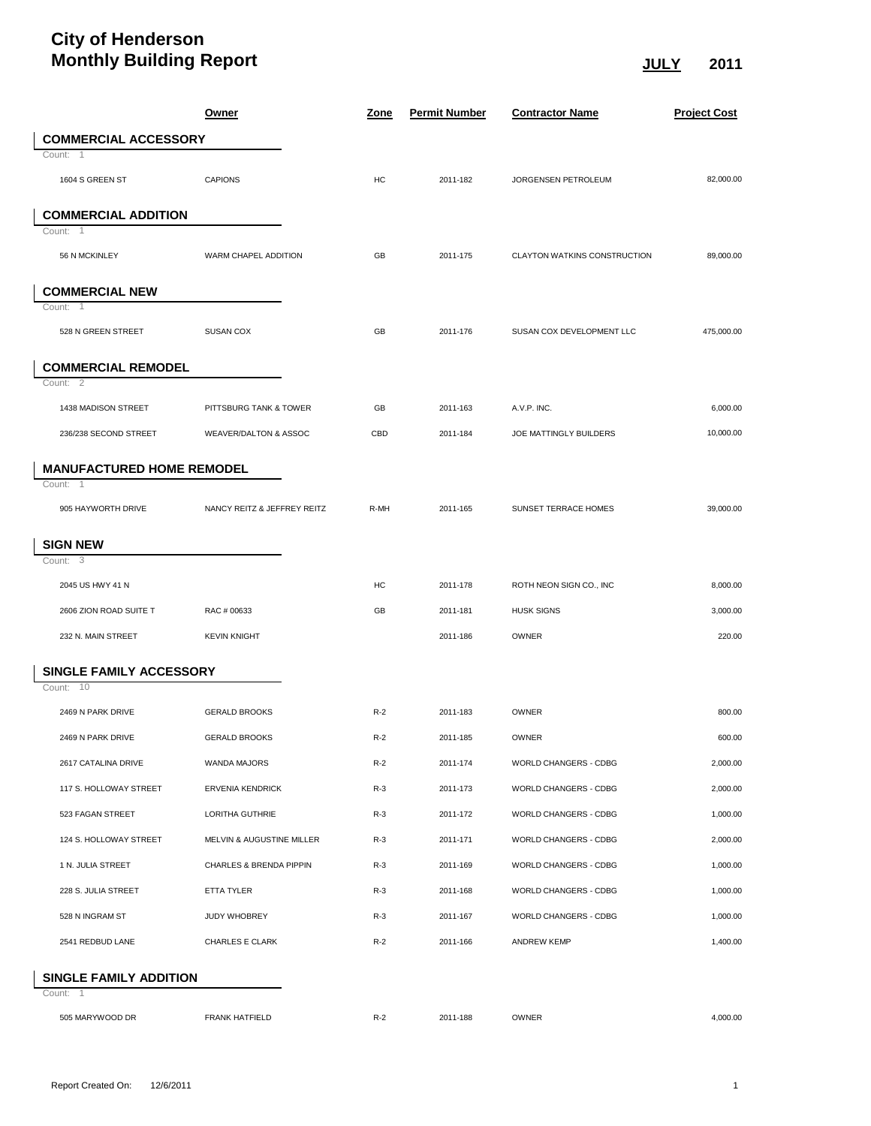## **City of Henderson Monthly Building Report JULY 2011**

|                                  | <u>Owner</u>                     | <u>Zone</u> | <b>Permit Number</b> | <b>Contractor Name</b>       | <b>Project Cost</b> |
|----------------------------------|----------------------------------|-------------|----------------------|------------------------------|---------------------|
| <b>COMMERCIAL ACCESSORY</b>      |                                  |             |                      |                              |                     |
| Count: 1                         |                                  |             |                      |                              |                     |
| 1604 S GREEN ST                  | <b>CAPIONS</b>                   | HC          | 2011-182             | JORGENSEN PETROLEUM          | 82,000.00           |
| <b>COMMERCIAL ADDITION</b>       |                                  |             |                      |                              |                     |
| Count:<br>$\overline{1}$         |                                  |             |                      |                              |                     |
| 56 N MCKINLEY                    | WARM CHAPEL ADDITION             | GB          | 2011-175             | CLAYTON WATKINS CONSTRUCTION | 89,000.00           |
| <b>COMMERCIAL NEW</b>            |                                  |             |                      |                              |                     |
| Count:<br>$\overline{1}$         |                                  |             |                      |                              |                     |
| 528 N GREEN STREET               | <b>SUSAN COX</b>                 | GB          | 2011-176             | SUSAN COX DEVELOPMENT LLC    | 475,000.00          |
| <b>COMMERCIAL REMODEL</b>        |                                  |             |                      |                              |                     |
| Count: 2                         |                                  |             |                      |                              |                     |
| 1438 MADISON STREET              | PITTSBURG TANK & TOWER           | GB          | 2011-163             | A.V.P. INC.                  | 6,000.00            |
| 236/238 SECOND STREET            | <b>WEAVER/DALTON &amp; ASSOC</b> | CBD         | 2011-184             | JOE MATTINGLY BUILDERS       | 10,000.00           |
| <b>MANUFACTURED HOME REMODEL</b> |                                  |             |                      |                              |                     |
| Count:<br>$\overline{1}$         |                                  |             |                      |                              |                     |
| 905 HAYWORTH DRIVE               | NANCY REITZ & JEFFREY REITZ      | R-MH        | 2011-165             | SUNSET TERRACE HOMES         | 39,000.00           |
| <b>SIGN NEW</b>                  |                                  |             |                      |                              |                     |
| Count: 3                         |                                  |             |                      |                              |                     |
| 2045 US HWY 41 N                 |                                  | HC          | 2011-178             | ROTH NEON SIGN CO., INC      | 8,000.00            |
| 2606 ZION ROAD SUITE T           | RAC # 00633                      | GB          | 2011-181             | <b>HUSK SIGNS</b>            | 3,000.00            |
| 232 N. MAIN STREET               | <b>KEVIN KNIGHT</b>              |             | 2011-186             | OWNER                        | 220.00              |
| <b>SINGLE FAMILY ACCESSORY</b>   |                                  |             |                      |                              |                     |
| Count: 10                        |                                  |             |                      |                              |                     |
| 2469 N PARK DRIVE                | <b>GERALD BROOKS</b>             | $R-2$       | 2011-183             | OWNER                        | 800.00              |
| 2469 N PARK DRIVE                | <b>GERALD BROOKS</b>             | $R-2$       | 2011-185             | OWNER                        | 600.00              |
| 2617 CATALINA DRIVE              | WANDA MAJORS                     | $R-2$       | 2011-174             | WORLD CHANGERS - CDBG        | 2,000.00            |
| 117 S. HOLLOWAY STREET           | <b>ERVENIA KENDRICK</b>          | $R-3$       | 2011-173             | WORLD CHANGERS - CDBG        | 2,000.00            |
| 523 FAGAN STREET                 | LORITHA GUTHRIE                  | $R-3$       | 2011-172             | WORLD CHANGERS - CDBG        | 1,000.00            |
| 124 S. HOLLOWAY STREET           | MELVIN & AUGUSTINE MILLER        | $R-3$       | 2011-171             | WORLD CHANGERS - CDBG        | 2,000.00            |
| 1 N. JULIA STREET                | CHARLES & BRENDA PIPPIN          | $R-3$       | 2011-169             | WORLD CHANGERS - CDBG        | 1,000.00            |
| 228 S. JULIA STREET              | ETTA TYLER                       | $R-3$       | 2011-168             | WORLD CHANGERS - CDBG        | 1,000.00            |
| 528 N INGRAM ST                  | JUDY WHOBREY                     | $R-3$       | 2011-167             | WORLD CHANGERS - CDBG        | 1,000.00            |
| 2541 REDBUD LANE                 | <b>CHARLES E CLARK</b>           | $R-2$       | 2011-166             | <b>ANDREW KEMP</b>           | 1,400.00            |
| SINGLE FAMILY ADDITION           |                                  |             |                      |                              |                     |
| Count: 1                         |                                  |             |                      |                              |                     |
| 505 MARYWOOD DR                  | <b>FRANK HATFIELD</b>            | $R-2$       | 2011-188             | OWNER                        | 4,000.00            |